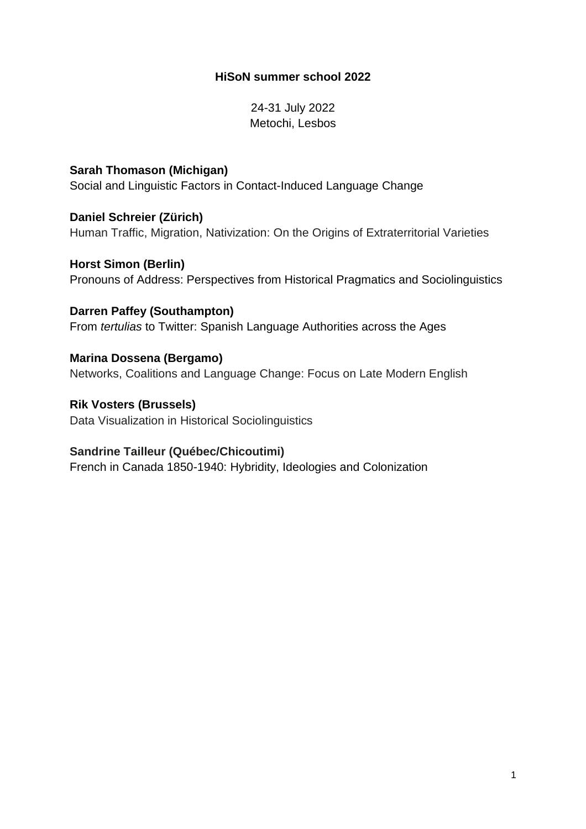#### **HiSoN summer school 2022**

24-31 July 2022 Metochi, Lesbos

**Sarah Thomason (Michigan)** Social and Linguistic Factors in Contact-Induced Language Change

**Daniel Schreier (Zürich)** Human Traffic, Migration, Nativization: On the Origins of Extraterritorial Varieties

**Horst Simon (Berlin)** Pronouns of Address: Perspectives from Historical Pragmatics and Sociolinguistics

**Darren Paffey (Southampton)** From *tertulias* to Twitter: Spanish Language Authorities across the Ages

**Marina Dossena (Bergamo)** Networks, Coalitions and Language Change: Focus on Late Modern English

**Rik Vosters (Brussels)** Data Visualization in Historical Sociolinguistics

#### **Sandrine Tailleur (Québec/Chicoutimi)**

French in Canada 1850-1940: Hybridity, Ideologies and Colonization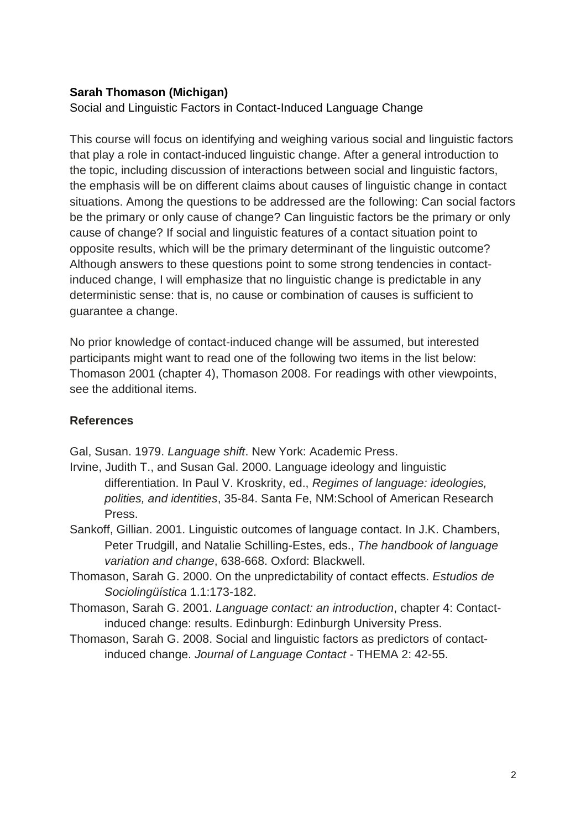## **Sarah Thomason (Michigan)**

Social and Linguistic Factors in Contact-Induced Language Change

This course will focus on identifying and weighing various social and linguistic factors that play a role in contact-induced linguistic change. After a general introduction to the topic, including discussion of interactions between social and linguistic factors, the emphasis will be on different claims about causes of linguistic change in contact situations. Among the questions to be addressed are the following: Can social factors be the primary or only cause of change? Can linguistic factors be the primary or only cause of change? If social and linguistic features of a contact situation point to opposite results, which will be the primary determinant of the linguistic outcome? Although answers to these questions point to some strong tendencies in contactinduced change, I will emphasize that no linguistic change is predictable in any deterministic sense: that is, no cause or combination of causes is sufficient to guarantee a change.

No prior knowledge of contact-induced change will be assumed, but interested participants might want to read one of the following two items in the list below: Thomason 2001 (chapter 4), Thomason 2008. For readings with other viewpoints, see the additional items.

## **References**

Gal, Susan. 1979. *Language shift*. New York: Academic Press.

- Irvine, Judith T., and Susan Gal. 2000. Language ideology and linguistic differentiation. In Paul V. Kroskrity, ed., *Regimes of language: ideologies, polities, and identities*, 35-84. Santa Fe, NM:School of American Research Press.
- Sankoff, Gillian. 2001. Linguistic outcomes of language contact. In J.K. Chambers, Peter Trudgill, and Natalie Schilling-Estes, eds., *The handbook of language variation and change*, 638-668. Oxford: Blackwell.
- Thomason, Sarah G. 2000. On the unpredictability of contact effects. *Estudios de Sociolingüística* 1.1:173-182.
- Thomason, Sarah G. 2001. *Language contact: an introduction*, chapter 4: Contactinduced change: results. Edinburgh: Edinburgh University Press.
- Thomason, Sarah G. 2008. Social and linguistic factors as predictors of contactinduced change. *Journal of Language Contact* - THEMA 2: 42-55.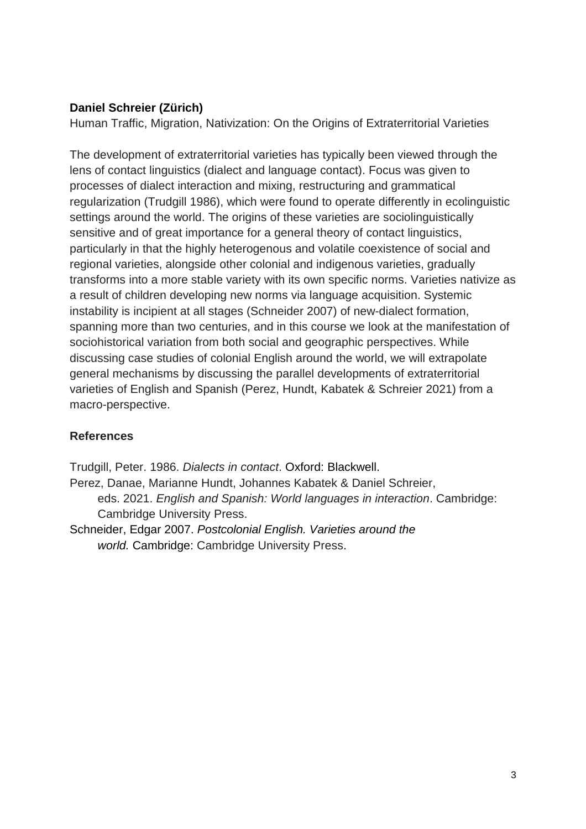## **Daniel Schreier (Zürich)**

Human Traffic, Migration, Nativization: On the Origins of Extraterritorial Varieties

The development of extraterritorial varieties has typically been viewed through the lens of contact linguistics (dialect and language contact). Focus was given to processes of dialect interaction and mixing, restructuring and grammatical regularization (Trudgill 1986), which were found to operate differently in ecolinguistic settings around the world. The origins of these varieties are sociolinguistically sensitive and of great importance for a general theory of contact linguistics, particularly in that the highly heterogenous and volatile coexistence of social and regional varieties, alongside other colonial and indigenous varieties, gradually transforms into a more stable variety with its own specific norms. Varieties nativize as a result of children developing new norms via language acquisition. Systemic instability is incipient at all stages (Schneider 2007) of new-dialect formation, spanning more than two centuries, and in this course we look at the manifestation of sociohistorical variation from both social and geographic perspectives. While discussing case studies of colonial English around the world, we will extrapolate general mechanisms by discussing the parallel developments of extraterritorial varieties of English and Spanish (Perez, Hundt, Kabatek & Schreier 2021) from a macro-perspective.

# **References**

Trudgill, Peter. 1986. *Dialects in contact*. Oxford: Blackwell.

Perez, Danae, Marianne Hundt, Johannes Kabatek & Daniel Schreier, eds. 2021. *English and Spanish: World languages in interaction*. Cambridge: Cambridge University Press.

Schneider, Edgar 2007. *Postcolonial English. Varieties around the world.* Cambridge: Cambridge University Press.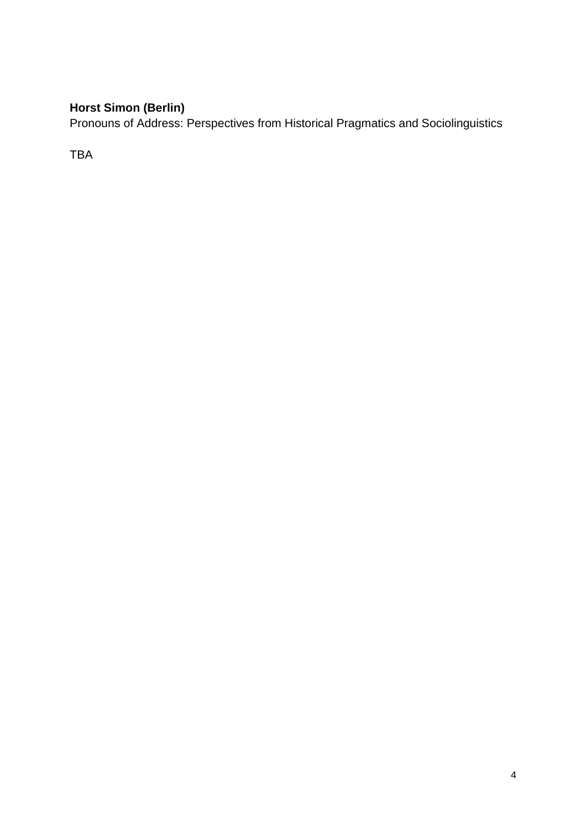# **Horst Simon (Berlin)**

Pronouns of Address: Perspectives from Historical Pragmatics and Sociolinguistics

TBA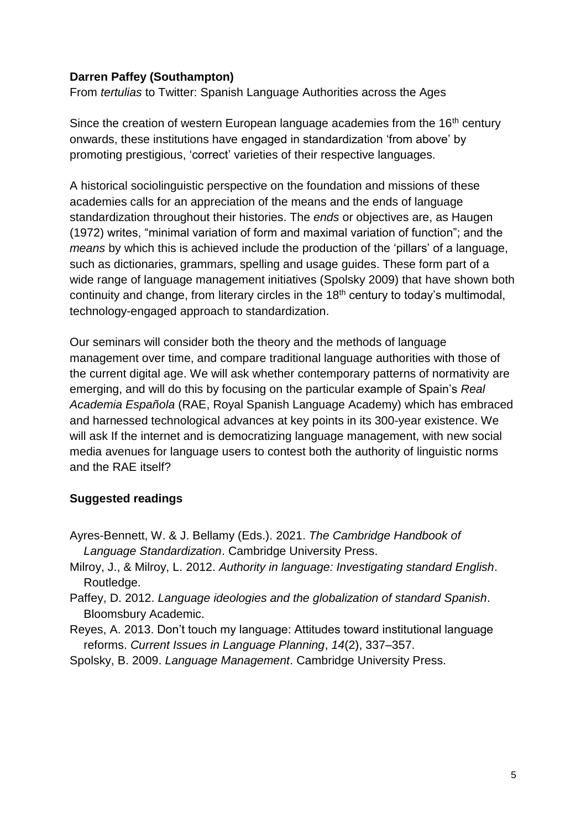#### **Darren Paffey (Southampton)**

From *tertulias* to Twitter: Spanish Language Authorities across the Ages

Since the creation of western European language academies from the 16<sup>th</sup> century onwards, these institutions have engaged in standardization 'from above' by promoting prestigious, 'correct' varieties of their respective languages.

A historical sociolinguistic perspective on the foundation and missions of these academies calls for an appreciation of the means and the ends of language standardization throughout their histories. The *ends* or objectives are, as Haugen (1972) writes, "minimal variation of form and maximal variation of function"; and the *means* by which this is achieved include the production of the 'pillars' of a language, such as dictionaries, grammars, spelling and usage guides. These form part of a wide range of language management initiatives (Spolsky 2009) that have shown both continuity and change, from literary circles in the  $18<sup>th</sup>$  century to today's multimodal, technology-engaged approach to standardization.

Our seminars will consider both the theory and the methods of language management over time, and compare traditional language authorities with those of the current digital age. We will ask whether contemporary patterns of normativity are emerging, and will do this by focusing on the particular example of Spain's *Real Academia Española* (RAE, Royal Spanish Language Academy) which has embraced and harnessed technological advances at key points in its 300-year existence. We will ask If the internet and is democratizing language management, with new social media avenues for language users to contest both the authority of linguistic norms and the RAE itself?

#### **Suggested readings**

- Ayres-Bennett, W. & J. Bellamy (Eds.). 2021. *The Cambridge Handbook of Language Standardization*. Cambridge University Press.
- Milroy, J., & Milroy, L. 2012. *Authority in language: Investigating standard English*. Routledge.
- Paffey, D. 2012. *Language ideologies and the globalization of standard Spanish*. Bloomsbury Academic.
- Reyes, A. 2013. Don't touch my language: Attitudes toward institutional language reforms. *Current Issues in Language Planning*, *14*(2), 337–357.
- Spolsky, B. 2009. *Language Management*. Cambridge University Press.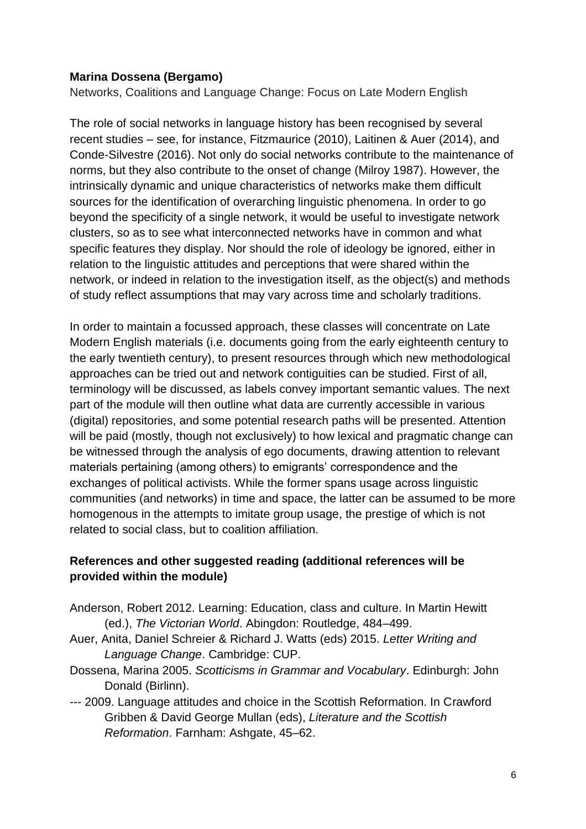#### **Marina Dossena (Bergamo)**

Networks, Coalitions and Language Change: Focus on Late Modern English

The role of social networks in language history has been recognised by several recent studies – see, for instance, Fitzmaurice (2010), Laitinen & Auer (2014), and Conde-Silvestre (2016). Not only do social networks contribute to the maintenance of norms, but they also contribute to the onset of change (Milroy 1987). However, the intrinsically dynamic and unique characteristics of networks make them difficult sources for the identification of overarching linguistic phenomena. In order to go beyond the specificity of a single network, it would be useful to investigate network clusters, so as to see what interconnected networks have in common and what specific features they display. Nor should the role of ideology be ignored, either in relation to the linguistic attitudes and perceptions that were shared within the network, or indeed in relation to the investigation itself, as the object(s) and methods of study reflect assumptions that may vary across time and scholarly traditions.

In order to maintain a focussed approach, these classes will concentrate on Late Modern English materials (i.e. documents going from the early eighteenth century to the early twentieth century), to present resources through which new methodological approaches can be tried out and network contiguities can be studied. First of all, terminology will be discussed, as labels convey important semantic values. The next part of the module will then outline what data are currently accessible in various (digital) repositories, and some potential research paths will be presented. Attention will be paid (mostly, though not exclusively) to how lexical and pragmatic change can be witnessed through the analysis of ego documents, drawing attention to relevant materials pertaining (among others) to emigrants' correspondence and the exchanges of political activists. While the former spans usage across linguistic communities (and networks) in time and space, the latter can be assumed to be more homogenous in the attempts to imitate group usage, the prestige of which is not related to social class, but to coalition affiliation.

### **References and other suggested reading (additional references will be provided within the module)**

- Anderson, Robert 2012. Learning: Education, class and culture. In Martin Hewitt (ed.), *The Victorian World*. Abingdon: Routledge, 484–499.
- Auer, Anita, Daniel Schreier & Richard J. Watts (eds) 2015. *Letter Writing and Language Change*. Cambridge: CUP.
- Dossena, Marina 2005. *Scotticisms in Grammar and Vocabulary*. Edinburgh: John Donald (Birlinn).
- --- 2009. Language attitudes and choice in the Scottish Reformation. In Crawford Gribben & David George Mullan (eds), *Literature and the Scottish Reformation*. Farnham: Ashgate, 45–62.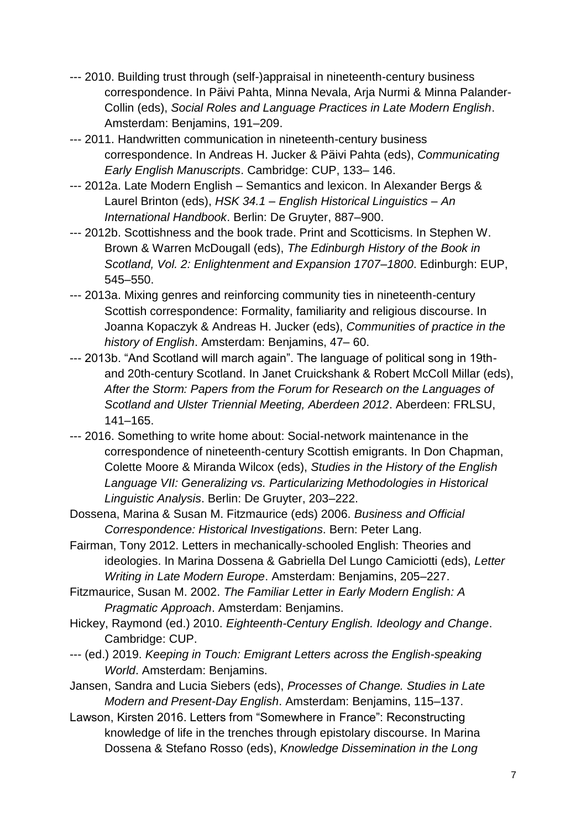- --- 2010. Building trust through (self-)appraisal in nineteenth-century business correspondence. In Päivi Pahta, Minna Nevala, Arja Nurmi & Minna Palander-Collin (eds), *Social Roles and Language Practices in Late Modern English*. Amsterdam: Benjamins, 191–209.
- --- 2011. Handwritten communication in nineteenth-century business correspondence. In Andreas H. Jucker & Päivi Pahta (eds), *Communicating Early English Manuscripts*. Cambridge: CUP, 133– 146.
- --- 2012a. Late Modern English Semantics and lexicon. In Alexander Bergs & Laurel Brinton (eds), *HSK 34.1 – English Historical Linguistics – An International Handbook*. Berlin: De Gruyter, 887–900.
- --- 2012b. Scottishness and the book trade. Print and Scotticisms. In Stephen W. Brown & Warren McDougall (eds), *The Edinburgh History of the Book in Scotland, Vol. 2: Enlightenment and Expansion 1707–1800*. Edinburgh: EUP, 545–550.
- --- 2013a. Mixing genres and reinforcing community ties in nineteenth-century Scottish correspondence: Formality, familiarity and religious discourse. In Joanna Kopaczyk & Andreas H. Jucker (eds), *Communities of practice in the history of English*. Amsterdam: Benjamins, 47– 60.
- --- 2013b. "And Scotland will march again". The language of political song in 19thand 20th-century Scotland. In Janet Cruickshank & Robert McColl Millar (eds), *After the Storm: Papers from the Forum for Research on the Languages of Scotland and Ulster Triennial Meeting, Aberdeen 2012*. Aberdeen: FRLSU, 141–165.
- --- 2016. Something to write home about: Social-network maintenance in the correspondence of nineteenth-century Scottish emigrants. In Don Chapman, Colette Moore & Miranda Wilcox (eds), *Studies in the History of the English Language VII: Generalizing vs. Particularizing Methodologies in Historical Linguistic Analysis*. Berlin: De Gruyter, 203–222.
- Dossena, Marina & Susan M. Fitzmaurice (eds) 2006. *Business and Official Correspondence: Historical Investigations*. Bern: Peter Lang.
- Fairman, Tony 2012. Letters in mechanically-schooled English: Theories and ideologies. In Marina Dossena & Gabriella Del Lungo Camiciotti (eds), *Letter Writing in Late Modern Europe*. Amsterdam: Benjamins, 205–227.
- Fitzmaurice, Susan M. 2002. *The Familiar Letter in Early Modern English: A Pragmatic Approach*. Amsterdam: Benjamins.
- Hickey, Raymond (ed.) 2010. *Eighteenth-Century English. Ideology and Change*. Cambridge: CUP.
- --- (ed.) 2019. *Keeping in Touch: Emigrant Letters across the English-speaking World*. Amsterdam: Benjamins.
- Jansen, Sandra and Lucia Siebers (eds), *Processes of Change. Studies in Late Modern and Present-Day English*. Amsterdam: Benjamins, 115–137.
- Lawson, Kirsten 2016. Letters from "Somewhere in France": Reconstructing knowledge of life in the trenches through epistolary discourse. In Marina Dossena & Stefano Rosso (eds), *Knowledge Dissemination in the Long*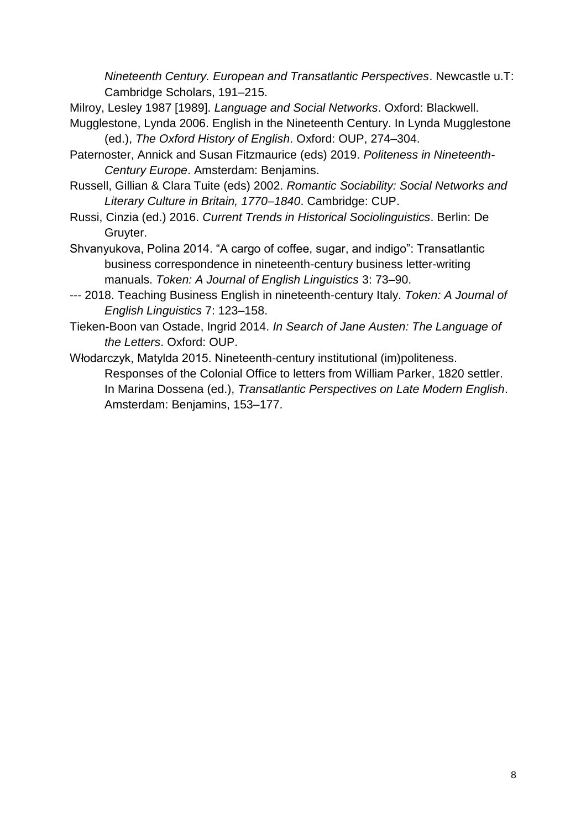*Nineteenth Century. European and Transatlantic Perspectives*. Newcastle u.T: Cambridge Scholars, 191–215.

- Milroy, Lesley 1987 [1989]. *Language and Social Networks*. Oxford: Blackwell.
- Mugglestone, Lynda 2006. English in the Nineteenth Century. In Lynda Mugglestone (ed.), *The Oxford History of English*. Oxford: OUP, 274–304.
- Paternoster, Annick and Susan Fitzmaurice (eds) 2019. *Politeness in Nineteenth-Century Europe*. Amsterdam: Benjamins.
- Russell, Gillian & Clara Tuite (eds) 2002. *Romantic Sociability: Social Networks and Literary Culture in Britain, 1770–1840*. Cambridge: CUP.
- Russi, Cinzia (ed.) 2016. *Current Trends in Historical Sociolinguistics*. Berlin: De Gruyter.
- Shvanyukova, Polina 2014. "A cargo of coffee, sugar, and indigo": Transatlantic business correspondence in nineteenth-century business letter-writing manuals. *Token: A Journal of English Linguistics* 3: 73–90.
- --- 2018. Teaching Business English in nineteenth-century Italy. *Token: A Journal of English Linguistics* 7: 123–158.
- Tieken-Boon van Ostade, Ingrid 2014. *In Search of Jane Austen: The Language of the Letters*. Oxford: OUP.
- Włodarczyk, Matylda 2015. Nineteenth-century institutional (im)politeness. Responses of the Colonial Office to letters from William Parker, 1820 settler. In Marina Dossena (ed.), *Transatlantic Perspectives on Late Modern English*. Amsterdam: Benjamins, 153–177.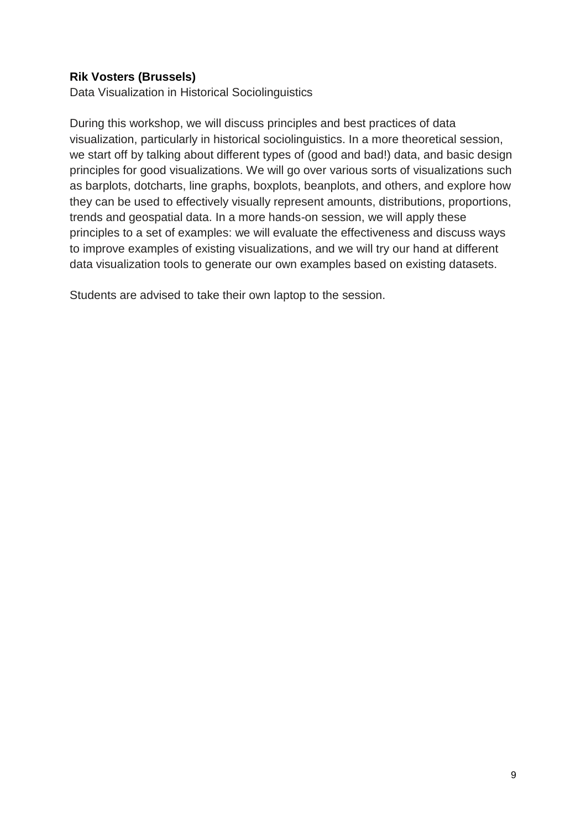# **Rik Vosters (Brussels)**

Data Visualization in Historical Sociolinguistics

During this workshop, we will discuss principles and best practices of data visualization, particularly in historical sociolinguistics. In a more theoretical session, we start off by talking about different types of (good and bad!) data, and basic design principles for good visualizations. We will go over various sorts of visualizations such as barplots, dotcharts, line graphs, boxplots, beanplots, and others, and explore how they can be used to effectively visually represent amounts, distributions, proportions, trends and geospatial data. In a more hands-on session, we will apply these principles to a set of examples: we will evaluate the effectiveness and discuss ways to improve examples of existing visualizations, and we will try our hand at different data visualization tools to generate our own examples based on existing datasets.

Students are advised to take their own laptop to the session.